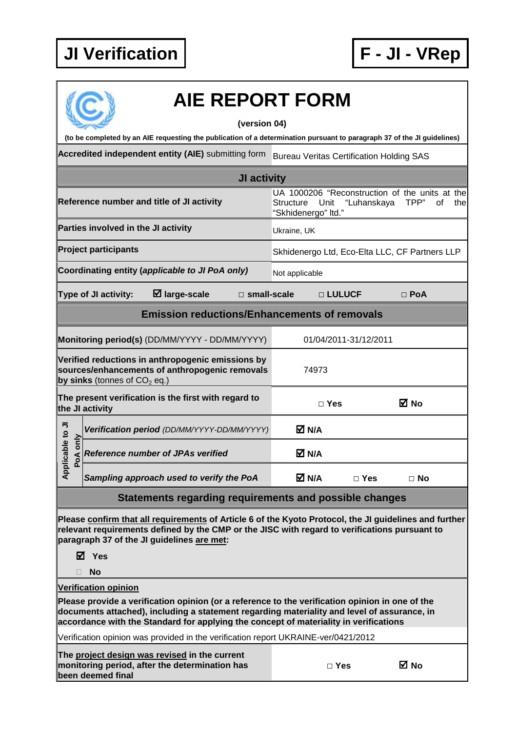

## **AIE REPORT FORM**

## **(version 04)**

**(to be completed by an AIE requesting the publication of a determination pursuant to paragraph 37 of the JI guidelines)** 

**Accredited independent entity (AIE)** submitting form Bureau Veritas Certification Holding SAS

| <b>JI activity</b>                                                                                                                    |                                                                                                                                 |  |  |  |  |
|---------------------------------------------------------------------------------------------------------------------------------------|---------------------------------------------------------------------------------------------------------------------------------|--|--|--|--|
| Reference number and title of JI activity                                                                                             | UA 1000206 "Reconstruction of the units at the<br>"Luhanskaya<br>TPP"<br>of<br>Structure<br>Unit<br>thel<br>"Skhidenergo" Itd." |  |  |  |  |
| Parties involved in the JI activity                                                                                                   | Ukraine, UK                                                                                                                     |  |  |  |  |
| <b>Project participants</b>                                                                                                           | Skhidenergo Ltd, Eco-Elta LLC, CF Partners LLP                                                                                  |  |  |  |  |
| Coordinating entity (applicable to JI PoA only)                                                                                       | Not applicable                                                                                                                  |  |  |  |  |
| $\boxtimes$ large-scale<br>□ small-scale<br>Type of JI activity:                                                                      | □ LULUCF<br>$\Box$ PoA                                                                                                          |  |  |  |  |
| <b>Emission reductions/Enhancements of removals</b>                                                                                   |                                                                                                                                 |  |  |  |  |
| Monitoring period(s) (DD/MM/YYYY - DD/MM/YYYY)                                                                                        | 01/04/2011-31/12/2011                                                                                                           |  |  |  |  |
| Verified reductions in anthropogenic emissions by<br>sources/enhancements of anthropogenic removals<br>by sinks (tonnes of $CO2$ eq.) | 74973                                                                                                                           |  |  |  |  |
| The present verification is the first with regard to<br>the JI activity                                                               | ⊠ No<br>$\Box$ Yes                                                                                                              |  |  |  |  |
| Verification period (DD/MM/YYYY-DD/MM/YYYY)                                                                                           | M N/A                                                                                                                           |  |  |  |  |
| Applicable to JI<br>only<br><b>Reference number of JPAs verified</b><br>PoA                                                           | M N/A                                                                                                                           |  |  |  |  |
| Sampling approach used to verify the PoA                                                                                              | M N/A<br>$\Box$ Yes<br>$\Box$ No                                                                                                |  |  |  |  |
| Statements regarding requirements and possible changes                                                                                |                                                                                                                                 |  |  |  |  |

**Please confirm that all requirements of Article 6 of the Kyoto Protocol, the JI guidelines and further relevant requirements defined by the CMP or the JISC with regard to verifications pursuant to paragraph 37 of the JI guidelines are met:** 

**Yes** 

**No** 

**Verification opinion**

**Please provide a verification opinion (or a reference to the verification opinion in one of the documents attached), including a statement regarding materiality and level of assurance, in accordance with the Standard for applying the concept of materiality in verifications** 

Verification opinion was provided in the verification report UKRAINE-ver/0421/2012

**The project design was revised in the current monitoring period, after the determination has been deemed final**